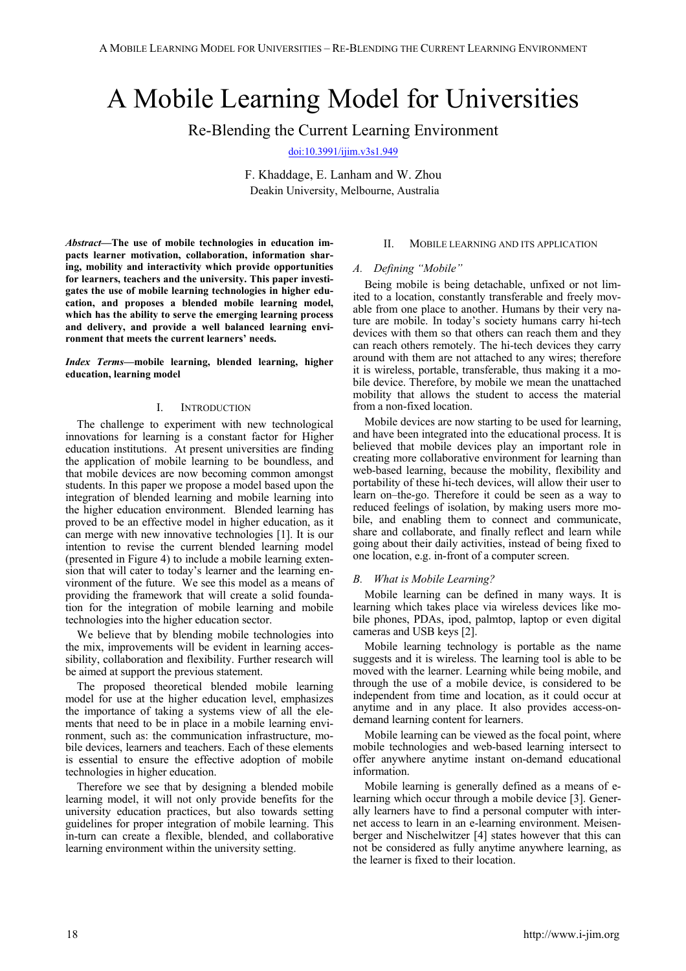# A Mobile Learning Model for Universities

Re-Blending the Current Learning Environment

[doi:10.3991/ijim.v3s1.949](http://dx.doi.org/10.3991/ijim.v3s1.949)

F. Khaddage, E. Lanham and W. Zhou Deakin University, Melbourne, Australia

*Abstract***—The use of mobile technologies in education impacts learner motivation, collaboration, information sharing, mobility and interactivity which provide opportunities for learners, teachers and the university. This paper investigates the use of mobile learning technologies in higher education, and proposes a blended mobile learning model, which has the ability to serve the emerging learning process and delivery, and provide a well balanced learning environment that meets the current learners' needs.** 

*Index Terms***—mobile learning, blended learning, higher education, learning model** 

### I. INTRODUCTION

The challenge to experiment with new technological innovations for learning is a constant factor for Higher education institutions. At present universities are finding the application of mobile learning to be boundless, and that mobile devices are now becoming common amongst students. In this paper we propose a model based upon the integration of blended learning and mobile learning into the higher education environment. Blended learning has proved to be an effective model in higher education, as it can merge with new innovative technologies [1]. It is our intention to revise the current blended learning model (presented in Figure 4) to include a mobile learning extension that will cater to today's learner and the learning environment of the future. We see this model as a means of providing the framework that will create a solid foundation for the integration of mobile learning and mobile technologies into the higher education sector.

We believe that by blending mobile technologies into the mix, improvements will be evident in learning accessibility, collaboration and flexibility. Further research will be aimed at support the previous statement.

The proposed theoretical blended mobile learning model for use at the higher education level, emphasizes the importance of taking a systems view of all the elements that need to be in place in a mobile learning environment, such as: the communication infrastructure, mobile devices, learners and teachers. Each of these elements is essential to ensure the effective adoption of mobile technologies in higher education.

Therefore we see that by designing a blended mobile learning model, it will not only provide benefits for the university education practices, but also towards setting guidelines for proper integration of mobile learning. This in-turn can create a flexible, blended, and collaborative learning environment within the university setting.

## II. MOBILE LEARNING AND ITS APPLICATION

#### *A. Defining "Mobile"*

Being mobile is being detachable, unfixed or not limited to a location, constantly transferable and freely movable from one place to another. Humans by their very nature are mobile. In today's society humans carry hi-tech devices with them so that others can reach them and they can reach others remotely. The hi-tech devices they carry around with them are not attached to any wires; therefore it is wireless, portable, transferable, thus making it a mobile device. Therefore, by mobile we mean the unattached mobility that allows the student to access the material from a non-fixed location.

Mobile devices are now starting to be used for learning, and have been integrated into the educational process. It is believed that mobile devices play an important role in creating more collaborative environment for learning than web-based learning, because the mobility, flexibility and portability of these hi-tech devices, will allow their user to learn on–the-go. Therefore it could be seen as a way to reduced feelings of isolation, by making users more mobile, and enabling them to connect and communicate, share and collaborate, and finally reflect and learn while going about their daily activities, instead of being fixed to one location, e.g. in-front of a computer screen.

## *B. What is Mobile Learning?*

Mobile learning can be defined in many ways. It is learning which takes place via wireless devices like mobile phones, PDAs, ipod, palmtop, laptop or even digital cameras and USB keys [2].

Mobile learning technology is portable as the name suggests and it is wireless. The learning tool is able to be moved with the learner. Learning while being mobile, and through the use of a mobile device, is considered to be independent from time and location, as it could occur at anytime and in any place. It also provides access-ondemand learning content for learners.

Mobile learning can be viewed as the focal point, where mobile technologies and web-based learning intersect to offer anywhere anytime instant on-demand educational information.

Mobile learning is generally defined as a means of elearning which occur through a mobile device [3]. Generally learners have to find a personal computer with internet access to learn in an e-learning environment. Meisenberger and Nischelwitzer [4] states however that this can not be considered as fully anytime anywhere learning, as the learner is fixed to their location.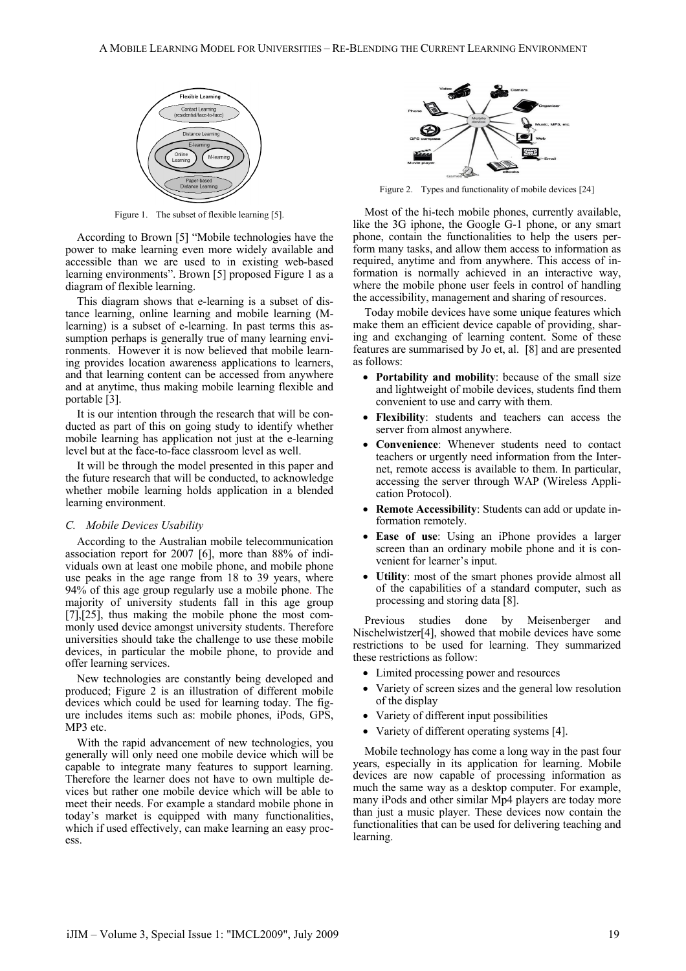

Figure 1. The subset of flexible learning [5].

According to Brown [5] "Mobile technologies have the power to make learning even more widely available and accessible than we are used to in existing web-based learning environments". Brown [5] proposed Figure 1 as a diagram of flexible learning.

This diagram shows that e-learning is a subset of distance learning, online learning and mobile learning (Mlearning) is a subset of e-learning. In past terms this assumption perhaps is generally true of many learning environments. However it is now believed that mobile learning provides location awareness applications to learners, and that learning content can be accessed from anywhere and at anytime, thus making mobile learning flexible and portable [3].

It is our intention through the research that will be conducted as part of this on going study to identify whether mobile learning has application not just at the e-learning level but at the face-to-face classroom level as well.

It will be through the model presented in this paper and the future research that will be conducted, to acknowledge whether mobile learning holds application in a blended learning environment.

### *C. Mobile Devices Usability*

According to the Australian mobile telecommunication association report for 2007 [6], more than 88% of individuals own at least one mobile phone, and mobile phone use peaks in the age range from 18 to 39 years, where 94% of this age group regularly use a mobile phone. The majority of university students fall in this age group [7],[25], thus making the mobile phone the most commonly used device amongst university students. Therefore universities should take the challenge to use these mobile devices, in particular the mobile phone, to provide and offer learning services.

New technologies are constantly being developed and produced; Figure 2 is an illustration of different mobile devices which could be used for learning today. The figure includes items such as: mobile phones, iPods, GPS, MP3 etc.

With the rapid advancement of new technologies, you generally will only need one mobile device which will be capable to integrate many features to support learning. Therefore the learner does not have to own multiple devices but rather one mobile device which will be able to meet their needs. For example a standard mobile phone in today's market is equipped with many functionalities, which if used effectively, can make learning an easy process.



Figure 2. Types and functionality of mobile devices [24]

Most of the hi-tech mobile phones, currently available, like the 3G iphone, the Google G-1 phone, or any smart phone, contain the functionalities to help the users perform many tasks, and allow them access to information as required, anytime and from anywhere. This access of information is normally achieved in an interactive way, where the mobile phone user feels in control of handling the accessibility, management and sharing of resources.

Today mobile devices have some unique features which make them an efficient device capable of providing, sharing and exchanging of learning content. Some of these features are summarised by Jo et, al. [8] and are presented as follows:

- **Portability and mobility**: because of the small size and lightweight of mobile devices, students find them convenient to use and carry with them.
- **Flexibility**: students and teachers can access the server from almost anywhere.
- **Convenience**: Whenever students need to contact teachers or urgently need information from the Internet, remote access is available to them. In particular, accessing the server through WAP (Wireless Application Protocol).
- **Remote Accessibility**: Students can add or update information remotely.
- **Ease of use**: Using an iPhone provides a larger screen than an ordinary mobile phone and it is convenient for learner's input.
- **Utility**: most of the smart phones provide almost all of the capabilities of a standard computer, such as processing and storing data [8].

Previous studies done by Meisenberger and Nischelwistzer[4], showed that mobile devices have some restrictions to be used for learning. They summarized these restrictions as follow:

- Limited processing power and resources
- Variety of screen sizes and the general low resolution of the display
- Variety of different input possibilities
- Variety of different operating systems [4].

Mobile technology has come a long way in the past four years, especially in its application for learning. Mobile devices are now capable of processing information as much the same way as a desktop computer. For example, many iPods and other similar Mp4 players are today more than just a music player. These devices now contain the functionalities that can be used for delivering teaching and learning.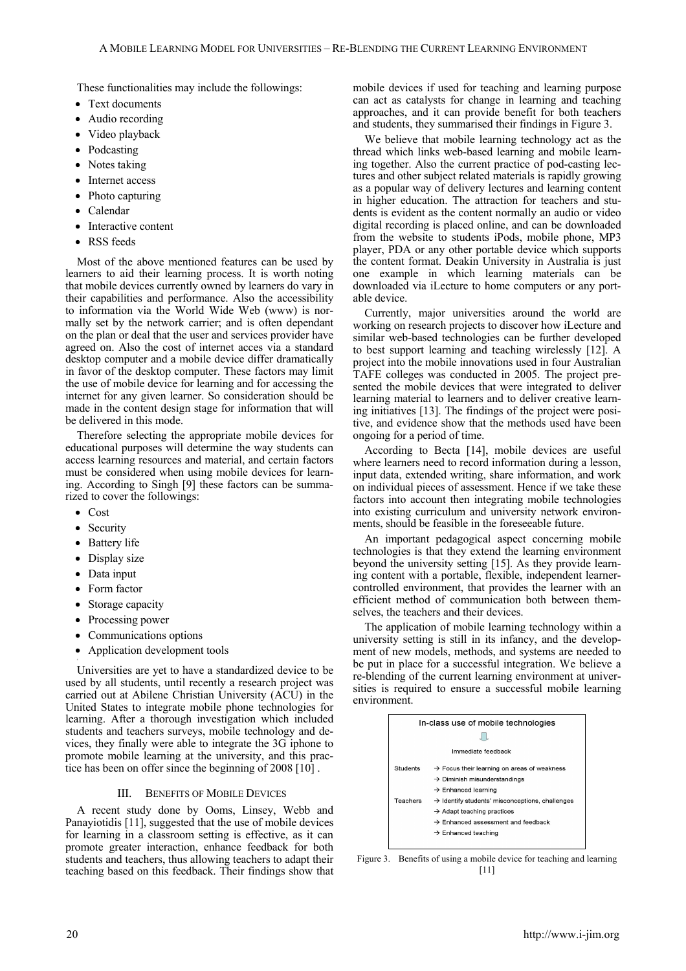These functionalities may include the followings:

- Text documents
- Audio recording
- Video playback
- Podcasting
- Notes taking
- Internet access
- Photo capturing
- Calendar
- Interactive content
- RSS feeds

Most of the above mentioned features can be used by learners to aid their learning process. It is worth noting that mobile devices currently owned by learners do vary in their capabilities and performance. Also the accessibility to information via the World Wide Web (www) is normally set by the network carrier; and is often dependant on the plan or deal that the user and services provider have agreed on. Also the cost of internet acces via a standard desktop computer and a mobile device differ dramatically in favor of the desktop computer. These factors may limit the use of mobile device for learning and for accessing the internet for any given learner. So consideration should be made in the content design stage for information that will be delivered in this mode.

Therefore selecting the appropriate mobile devices for educational purposes will determine the way students can access learning resources and material, and certain factors must be considered when using mobile devices for learning. According to Singh [9] these factors can be summarized to cover the followings:

- Cost
- Security
- Battery life
- Display size
- Data input
- Form factor
- Storage capacity
- Processing power
- Communications options
- Application development tools

Universities are yet to have a standardized device to be used by all students, until recently a research project was carried out at Abilene Christian University (ACU) in the United States to integrate mobile phone technologies for learning. After a thorough investigation which included students and teachers surveys, mobile technology and devices, they finally were able to integrate the 3G iphone to promote mobile learning at the university, and this practice has been on offer since the beginning of 2008 [10] .

## III. BENEFITS OF MOBILE DEVICES

A recent study done by Ooms, Linsey, Webb and Panayiotidis [11], suggested that the use of mobile devices for learning in a classroom setting is effective, as it can promote greater interaction, enhance feedback for both students and teachers, thus allowing teachers to adapt their teaching based on this feedback. Their findings show that mobile devices if used for teaching and learning purpose can act as catalysts for change in learning and teaching approaches, and it can provide benefit for both teachers and students, they summarised their findings in Figure 3.

We believe that mobile learning technology act as the thread which links web-based learning and mobile learning together. Also the current practice of pod-casting lectures and other subject related materials is rapidly growing as a popular way of delivery lectures and learning content in higher education. The attraction for teachers and students is evident as the content normally an audio or video digital recording is placed online, and can be downloaded from the website to students iPods, mobile phone, MP3 player, PDA or any other portable device which supports the content format. Deakin University in Australia is just one example in which learning materials can be downloaded via iLecture to home computers or any portable device.

Currently, major universities around the world are working on research projects to discover how iLecture and similar web-based technologies can be further developed to best support learning and teaching wirelessly [12]. A project into the mobile innovations used in four Australian TAFE colleges was conducted in 2005. The project presented the mobile devices that were integrated to deliver learning material to learners and to deliver creative learning initiatives [13]. The findings of the project were positive, and evidence show that the methods used have been ongoing for a period of time.

According to Becta [14], mobile devices are useful where learners need to record information during a lesson, input data, extended writing, share information, and work on individual pieces of assessment. Hence if we take these factors into account then integrating mobile technologies into existing curriculum and university network environments, should be feasible in the foreseeable future.

An important pedagogical aspect concerning mobile technologies is that they extend the learning environment beyond the university setting [15]. As they provide learning content with a portable, flexible, independent learnercontrolled environment, that provides the learner with an efficient method of communication both between themselves, the teachers and their devices.

The application of mobile learning technology within a university setting is still in its infancy, and the development of new models, methods, and systems are needed to be put in place for a successful integration. We believe a re-blending of the current learning environment at universities is required to ensure a successful mobile learning environment.



Figure 3. Benefits of using a mobile device for teaching and learning [11]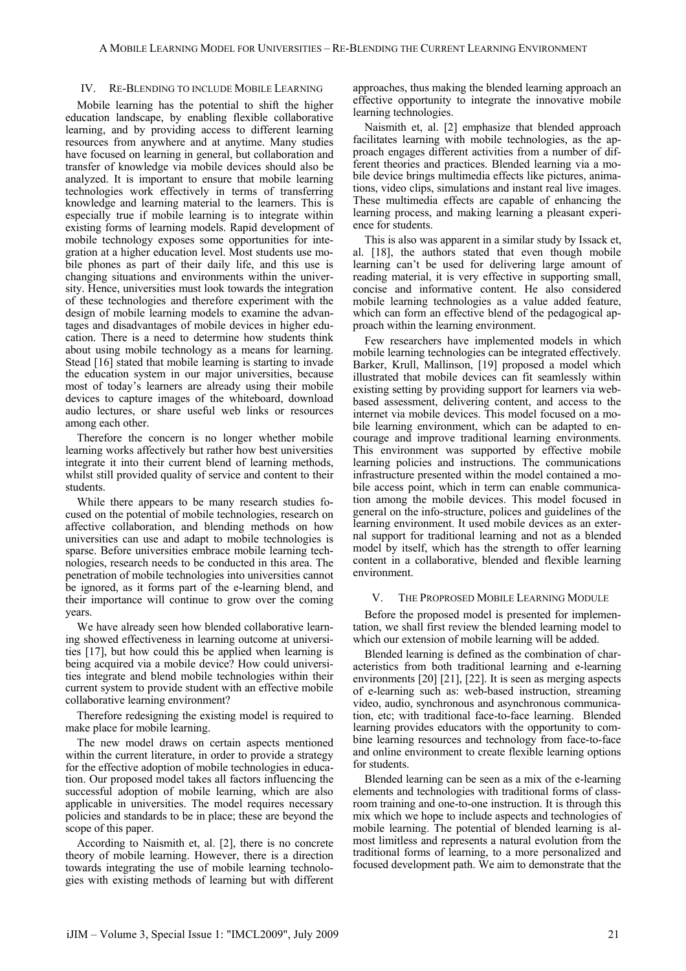#### IV. RE-BLENDING TO INCLUDE MOBILE LEARNING

Mobile learning has the potential to shift the higher education landscape, by enabling flexible collaborative learning, and by providing access to different learning resources from anywhere and at anytime. Many studies have focused on learning in general, but collaboration and transfer of knowledge via mobile devices should also be analyzed. It is important to ensure that mobile learning technologies work effectively in terms of transferring knowledge and learning material to the learners. This is especially true if mobile learning is to integrate within existing forms of learning models. Rapid development of mobile technology exposes some opportunities for integration at a higher education level. Most students use mobile phones as part of their daily life, and this use is changing situations and environments within the university. Hence, universities must look towards the integration of these technologies and therefore experiment with the design of mobile learning models to examine the advantages and disadvantages of mobile devices in higher education. There is a need to determine how students think about using mobile technology as a means for learning. Stead [16] stated that mobile learning is starting to invade the education system in our major universities, because most of today's learners are already using their mobile devices to capture images of the whiteboard, download audio lectures, or share useful web links or resources among each other.

Therefore the concern is no longer whether mobile learning works affectively but rather how best universities integrate it into their current blend of learning methods, whilst still provided quality of service and content to their students.

While there appears to be many research studies focused on the potential of mobile technologies, research on affective collaboration, and blending methods on how universities can use and adapt to mobile technologies is sparse. Before universities embrace mobile learning technologies, research needs to be conducted in this area. The penetration of mobile technologies into universities cannot be ignored, as it forms part of the e-learning blend, and their importance will continue to grow over the coming years.

We have already seen how blended collaborative learning showed effectiveness in learning outcome at universities [17], but how could this be applied when learning is being acquired via a mobile device? How could universities integrate and blend mobile technologies within their current system to provide student with an effective mobile collaborative learning environment?

Therefore redesigning the existing model is required to make place for mobile learning.

The new model draws on certain aspects mentioned within the current literature, in order to provide a strategy for the effective adoption of mobile technologies in education. Our proposed model takes all factors influencing the successful adoption of mobile learning, which are also applicable in universities. The model requires necessary policies and standards to be in place; these are beyond the scope of this paper.

According to Naismith et, al. [2], there is no concrete theory of mobile learning. However, there is a direction towards integrating the use of mobile learning technologies with existing methods of learning but with different approaches, thus making the blended learning approach an effective opportunity to integrate the innovative mobile learning technologies.

Naismith et, al. [2] emphasize that blended approach facilitates learning with mobile technologies, as the approach engages different activities from a number of different theories and practices. Blended learning via a mobile device brings multimedia effects like pictures, animations, video clips, simulations and instant real live images. These multimedia effects are capable of enhancing the learning process, and making learning a pleasant experience for students.

This is also was apparent in a similar study by Issack et, al. [18], the authors stated that even though mobile learning can't be used for delivering large amount of reading material, it is very effective in supporting small, concise and informative content. He also considered mobile learning technologies as a value added feature, which can form an effective blend of the pedagogical approach within the learning environment.

Few researchers have implemented models in which mobile learning technologies can be integrated effectively. Barker, Krull, Mallinson, [19] proposed a model which illustrated that mobile devices can fit seamlessly within existing setting by providing support for learners via webbased assessment, delivering content, and access to the internet via mobile devices. This model focused on a mobile learning environment, which can be adapted to encourage and improve traditional learning environments. This environment was supported by effective mobile learning policies and instructions. The communications infrastructure presented within the model contained a mobile access point, which in term can enable communication among the mobile devices. This model focused in general on the info-structure, polices and guidelines of the learning environment. It used mobile devices as an external support for traditional learning and not as a blended model by itself, which has the strength to offer learning content in a collaborative, blended and flexible learning environment.

#### V. THE PROPROSED MOBILE LEARNING MODULE

Before the proposed model is presented for implementation, we shall first review the blended learning model to which our extension of mobile learning will be added.

Blended learning is defined as the combination of characteristics from both traditional learning and e-learning environments [20] [21], [22]. It is seen as merging aspects of e-learning such as: web-based instruction, streaming video, audio, synchronous and asynchronous communication, etc; with traditional face-to-face learning. Blended learning provides educators with the opportunity to combine learning resources and technology from face-to-face and online environment to create flexible learning options for students.

Blended learning can be seen as a mix of the e-learning elements and technologies with traditional forms of classroom training and one-to-one instruction. It is through this mix which we hope to include aspects and technologies of mobile learning. The potential of blended learning is almost limitless and represents a natural evolution from the traditional forms of learning, to a more personalized and focused development path. We aim to demonstrate that the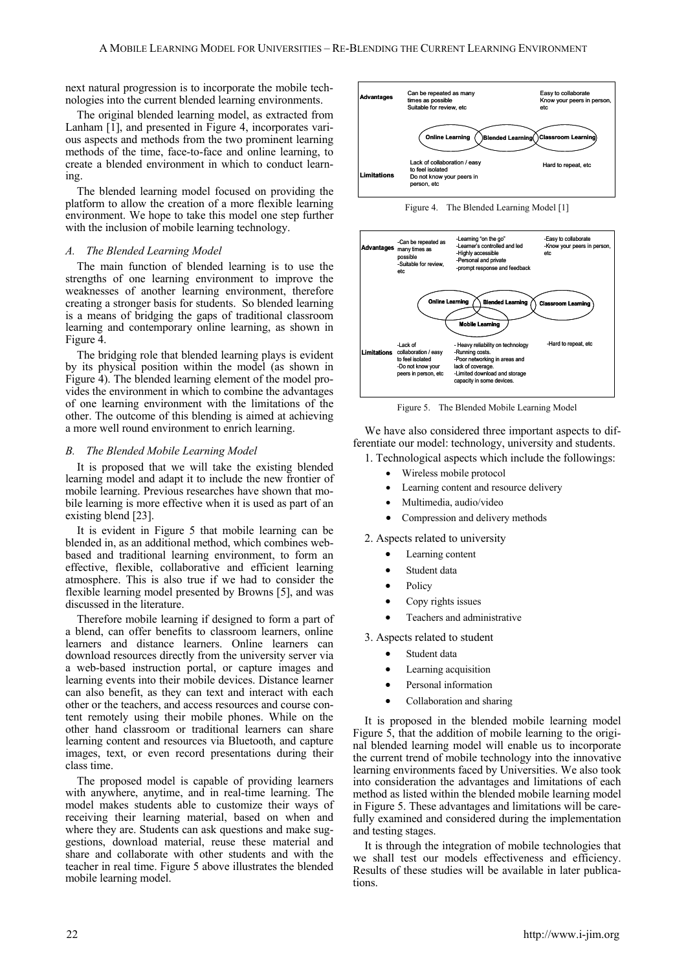next natural progression is to incorporate the mobile technologies into the current blended learning environments.

The original blended learning model, as extracted from Lanham [1], and presented in Figure 4, incorporates various aspects and methods from the two prominent learning methods of the time, face-to-face and online learning, to create a blended environment in which to conduct learning.

The blended learning model focused on providing the platform to allow the creation of a more flexible learning environment. We hope to take this model one step further with the inclusion of mobile learning technology.

### *A. The Blended Learning Model*

The main function of blended learning is to use the strengths of one learning environment to improve the weaknesses of another learning environment, therefore creating a stronger basis for students. So blended learning is a means of bridging the gaps of traditional classroom learning and contemporary online learning, as shown in Figure 4.

The bridging role that blended learning plays is evident by its physical position within the model (as shown in Figure 4). The blended learning element of the model provides the environment in which to combine the advantages of one learning environment with the limitations of the other. The outcome of this blending is aimed at achieving a more well round environment to enrich learning.

#### *B. The Blended Mobile Learning Model*

It is proposed that we will take the existing blended learning model and adapt it to include the new frontier of mobile learning. Previous researches have shown that mobile learning is more effective when it is used as part of an existing blend [23].

It is evident in Figure 5 that mobile learning can be blended in, as an additional method, which combines webbased and traditional learning environment, to form an effective, flexible, collaborative and efficient learning atmosphere. This is also true if we had to consider the flexible learning model presented by Browns [5], and was discussed in the literature.

Therefore mobile learning if designed to form a part of a blend, can offer benefits to classroom learners, online learners and distance learners. Online learners can download resources directly from the university server via a web-based instruction portal, or capture images and learning events into their mobile devices. Distance learner can also benefit, as they can text and interact with each other or the teachers, and access resources and course content remotely using their mobile phones. While on the other hand classroom or traditional learners can share learning content and resources via Bluetooth, and capture images, text, or even record presentations during their class time.

The proposed model is capable of providing learners with anywhere, anytime, and in real-time learning. The model makes students able to customize their ways of receiving their learning material, based on when and where they are. Students can ask questions and make suggestions, download material, reuse these material and share and collaborate with other students and with the teacher in real time. Figure 5 above illustrates the blended mobile learning model.



Figure 4. The Blended Learning Model [1]



Figure 5. The Blended Mobile Learning Model

We have also considered three important aspects to differentiate our model: technology, university and students.

1. Technological aspects which include the followings:

- Wireless mobile protocol
- Learning content and resource delivery
- Multimedia, audio/video
- Compression and delivery methods

2. Aspects related to university

- Learning content
- Student data
- **Policy**
- Copy rights issues
- Teachers and administrative

3. Aspects related to student

- Student data
- Learning acquisition
- Personal information
- Collaboration and sharing

It is proposed in the blended mobile learning model Figure 5, that the addition of mobile learning to the original blended learning model will enable us to incorporate the current trend of mobile technology into the innovative learning environments faced by Universities. We also took into consideration the advantages and limitations of each method as listed within the blended mobile learning model in Figure 5. These advantages and limitations will be carefully examined and considered during the implementation and testing stages.

It is through the integration of mobile technologies that we shall test our models effectiveness and efficiency. Results of these studies will be available in later publications.